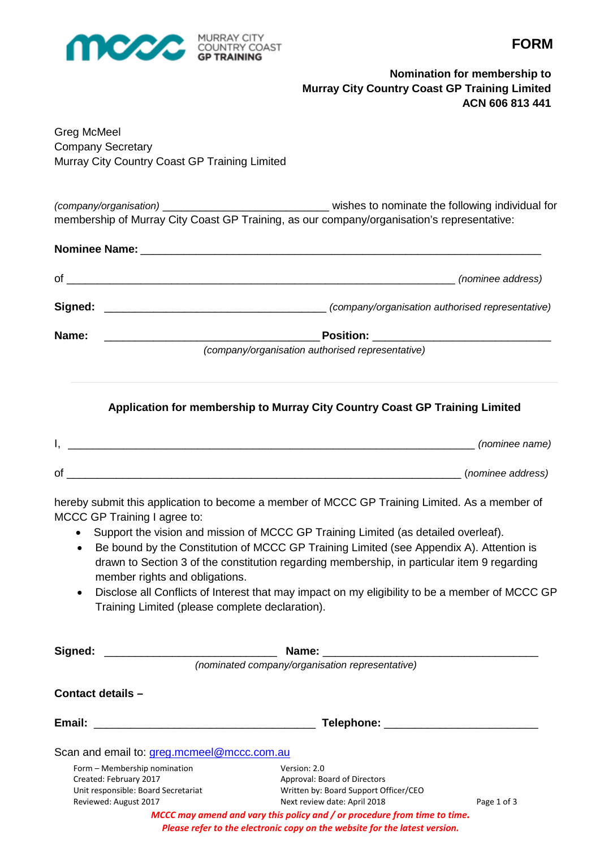

**FORM**

# **Nomination for membership to Murray City Country Coast GP Training Limited ACN 606 813 441**

Greg McMeel Company Secretary Murray City Country Coast GP Training Limited

*(company/organisation)* \_\_\_\_\_\_\_\_\_\_\_\_\_\_\_\_\_\_\_\_\_\_\_\_\_\_\_ wishes to nominate the following individual for membership of Murray City Coast GP Training, as our company/organisation's representative:

|         | Nominee Name: North and the state of the state of the state of the state of the state of the state of the state of the state of the state of the state of the state of the state of the state of the state of the state of the |
|---------|--------------------------------------------------------------------------------------------------------------------------------------------------------------------------------------------------------------------------------|
| of      | (nominee address)                                                                                                                                                                                                              |
| Signed: | (company/organisation authorised representative)                                                                                                                                                                               |
| Name:   | Position: ___________________________                                                                                                                                                                                          |
|         | (company/organisation authorised representative)                                                                                                                                                                               |

# **Application for membership to Murray City Country Coast GP Training Limited**

|    | (nominee name)    |
|----|-------------------|
| οf | (nominee address) |

hereby submit this application to become a member of MCCC GP Training Limited. As a member of MCCC GP Training I agree to:

- Support the vision and mission of MCCC GP Training Limited (as detailed overleaf).
- Be bound by the Constitution of MCCC GP Training Limited (see Appendix A). Attention is drawn to Section 3 of the constitution regarding membership, in particular item 9 regarding member rights and obligations.
- Disclose all Conflicts of Interest that may impact on my eligibility to be a member of MCCC GP Training Limited (please complete declaration).

| Signed:                                                                            | Name:                                                                     |             |
|------------------------------------------------------------------------------------|---------------------------------------------------------------------------|-------------|
|                                                                                    | (nominated company/organisation representative)                           |             |
| Contact details -                                                                  |                                                                           |             |
| Email:<br><u> 1980 - Jan Barbarat, martin da shekara 1980 - Andrea Statistik (</u> | Telephone: ___________________                                            |             |
| Scan and email to: greg.mcmeel@mccc.com.au                                         |                                                                           |             |
| Form – Membership nomination                                                       | Version: 2.0                                                              |             |
| Created: February 2017                                                             | Approval: Board of Directors                                              |             |
| Unit responsible: Board Secretariat                                                | Written by: Board Support Officer/CEO                                     |             |
| Reviewed: August 2017                                                              | Next review date: April 2018                                              | Page 1 of 3 |
|                                                                                    | MCCC may amend and vary this policy and / or procedure from time to time. |             |

*Please refer to the electronic copy on the website for the latest version.*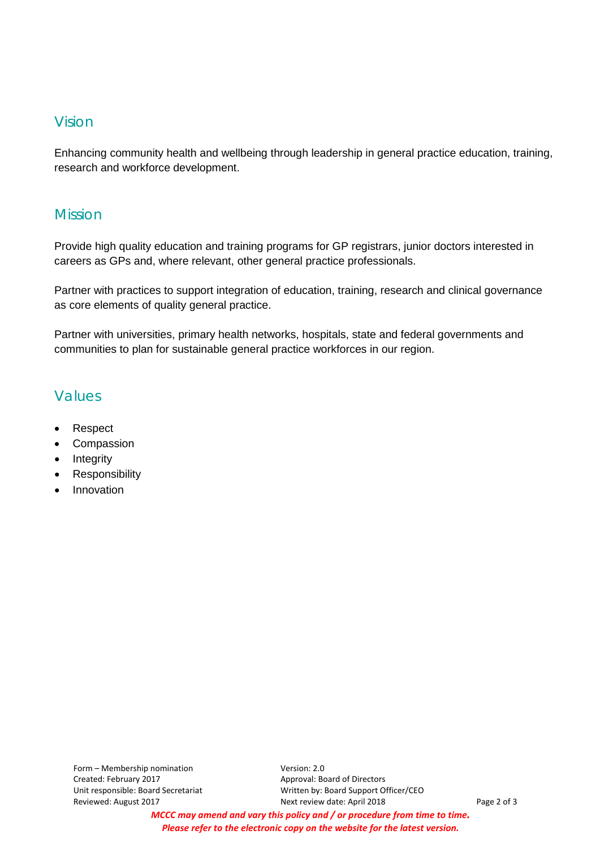# Vision

Enhancing community health and wellbeing through leadership in general practice education, training, research and workforce development.

# Mission

Provide high quality education and training programs for GP registrars, junior doctors interested in careers as GPs and, where relevant, other general practice professionals.

Partner with practices to support integration of education, training, research and clinical governance as core elements of quality general practice.

Partner with universities, primary health networks, hospitals, state and federal governments and communities to plan for sustainable general practice workforces in our region.

# Values

- Respect
- Compassion
- Integrity
- Responsibility
- Innovation

Unit responsible: Board Secretariat Written by: Board Support Officer/CEO Reviewed: August 2017 The State of 3 Next review date: April 2018 The State of 3

*MCCC may amend and vary this policy and / or procedure from time to time. Please refer to the electronic copy on the website for the latest version.*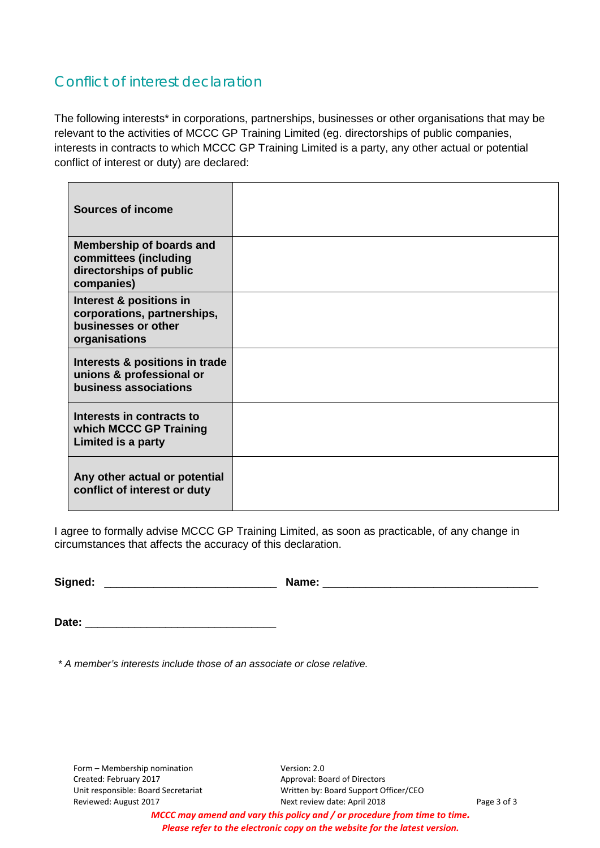# Conflict of interest declaration

The following interests\* in corporations, partnerships, businesses or other organisations that may be relevant to the activities of MCCC GP Training Limited (eg. directorships of public companies, interests in contracts to which MCCC GP Training Limited is a party, any other actual or potential conflict of interest or duty) are declared:

| <b>Sources of income</b>                                                                          |  |
|---------------------------------------------------------------------------------------------------|--|
| <b>Membership of boards and</b><br>committees (including<br>directorships of public<br>companies) |  |
| Interest & positions in<br>corporations, partnerships,<br>businesses or other<br>organisations    |  |
| Interests & positions in trade<br>unions & professional or<br>business associations               |  |
| Interests in contracts to<br>which MCCC GP Training<br>Limited is a party                         |  |
| Any other actual or potential<br>conflict of interest or duty                                     |  |

I agree to formally advise MCCC GP Training Limited, as soon as practicable, of any change in circumstances that affects the accuracy of this declaration.

**Signed:** \_\_\_\_\_\_\_\_\_\_\_\_\_\_\_\_\_\_\_\_\_\_\_\_\_\_\_\_ **Name:** \_\_\_\_\_\_\_\_\_\_\_\_\_\_\_\_\_\_\_\_\_\_\_\_\_\_\_\_\_\_\_\_\_\_\_

Date:

*\* A member's interests include those of an associate or close relative.*

Form – Membership nomination Version: 2.0 Created: February 2017 **Approval: Board of Directors** 

Unit responsible: Board Secretariat Written by: Board Support Officer/CEO Reviewed: August 2017 **Next review date: April 2018** Page 3 of 3

*MCCC may amend and vary this policy and / or procedure from time to time. Please refer to the electronic copy on the website for the latest version.*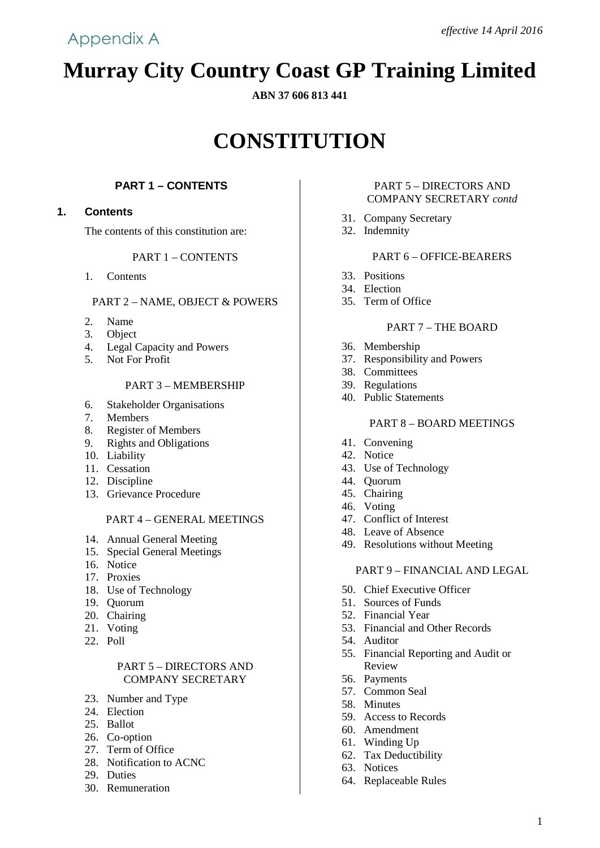# **Murray City Country Coast GP Training Limited**

## **ABN 37 606 813 441**

# **CONSTITUTION**

# **PART 1 – CONTENTS**

# **1. Contents**

The contents of this constitution are:

# PART 1 – CONTENTS

1. Contents

## PART 2 – NAME, OBJECT & POWERS

- 2. Name
- 3. Object
- 4. Legal Capacity and Powers
- 5. Not For Profit

### PART 3 – MEMBERSHIP

- 6. Stakeholder Organisations
- 7. Members
- 8. Register of Members
- 9. Rights and Obligations
- 10. Liability
- 11. Cessation
- 12. Discipline
- 13. Grievance Procedure

## PART 4 – GENERAL MEETINGS

- 14. Annual General Meeting
- 15. Special General Meetings
- 16. Notice
- 17. Proxies
- 18. Use of Technology
- 19. Quorum
- 20. Chairing
- 21. Voting
- 22. Poll

## PART 5 – DIRECTORS AND COMPANY SECRETARY

- 23. Number and Type
- 24. Election
- 25. Ballot
- 26. Co-option
- 27. Term of Office
- 28. Notification to ACNC
- 29. Duties
- 30. Remuneration

#### PART 5 – DIRECTORS AND COMPANY SECRETARY *contd*

- 31. Company Secretary
- 32. Indemnity

# PART 6 – OFFICE-BEARERS

- 33. Positions
- 34. Election
- 35. Term of Office

# PART 7 – THE BOARD

- 36. Membership
- 37. Responsibility and Powers
- 38. Committees
- 39. Regulations
- 40. Public Statements

#### PART 8 – BOARD MEETINGS

- 41. Convening
- 42. Notice
- 43. Use of Technology
- 44. Quorum
- 45. Chairing
- 46. Voting
- 47. Conflict of Interest
- 48. Leave of Absence
- 49. Resolutions without Meeting

#### PART 9 – FINANCIAL AND LEGAL

- 50. Chief Executive Officer
- 51. Sources of Funds
- 52. Financial Year
- 53. Financial and Other Records
- 54. Auditor
- 55. Financial Reporting and Audit or Review
- 56. Payments
- 57. Common Seal
- 58. Minutes
- 59. Access to Records
- 60. Amendment
- 61. Winding Up
- 62. Tax Deductibility
- 63. Notices
- 64. Replaceable Rules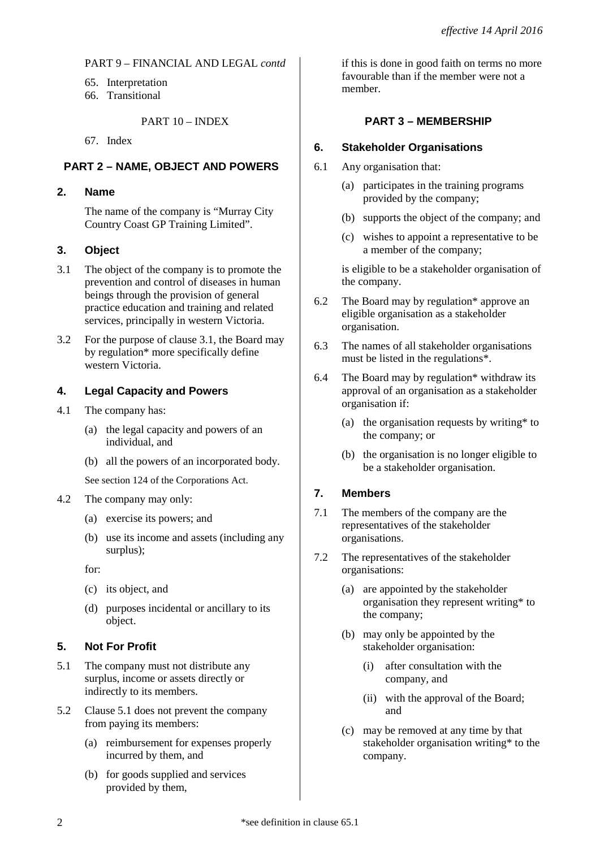## PART 9 – FINANCIAL AND LEGAL *contd*

- 65. Interpretation
- 66. Transitional

## PART 10 – INDEX

67. Index

# **PART 2 – NAME, OBJECT AND POWERS**

## **2. Name**

The name of the company is "Murray City Country Coast GP Training Limited".

## **3. Object**

- 3.1 The object of the company is to promote the prevention and control of diseases in human beings through the provision of general practice education and training and related services, principally in western Victoria.
- 3.2 For the purpose of clause 3.1, the Board may by regulation\* more specifically define western Victoria.

# **4. Legal Capacity and Powers**

- 4.1 The company has:
	- (a) the legal capacity and powers of an individual, and
	- (b) all the powers of an incorporated body.

See section 124 of the Corporations Act.

- 4.2 The company may only:
	- (a) exercise its powers; and
	- (b) use its income and assets (including any surplus);

for:

- (c) its object, and
- (d) purposes incidental or ancillary to its object.

## **5. Not For Profit**

- 5.1 The company must not distribute any surplus, income or assets directly or indirectly to its members.
- 5.2 Clause 5.1 does not prevent the company from paying its members:
	- (a) reimbursement for expenses properly incurred by them, and
	- (b) for goods supplied and services provided by them,

if this is done in good faith on terms no more favourable than if the member were not a member.

# **PART 3 – MEMBERSHIP**

## **6. Stakeholder Organisations**

- 6.1 Any organisation that:
	- (a) participates in the training programs provided by the company;
	- (b) supports the object of the company; and
	- (c) wishes to appoint a representative to be a member of the company;

is eligible to be a stakeholder organisation of the company.

- 6.2 The Board may by regulation\* approve an eligible organisation as a stakeholder organisation.
- 6.3 The names of all stakeholder organisations must be listed in the regulations\*.
- 6.4 The Board may by regulation\* withdraw its approval of an organisation as a stakeholder organisation if:
	- (a) the organisation requests by writing\* to the company; or
	- (b) the organisation is no longer eligible to be a stakeholder organisation.

## **7. Members**

- 7.1 The members of the company are the representatives of the stakeholder organisations.
- 7.2 The representatives of the stakeholder organisations:
	- (a) are appointed by the stakeholder organisation they represent writing\* to the company;
	- (b) may only be appointed by the stakeholder organisation:
		- (i) after consultation with the company, and
		- (ii) with the approval of the Board; and
	- (c) may be removed at any time by that stakeholder organisation writing\* to the company.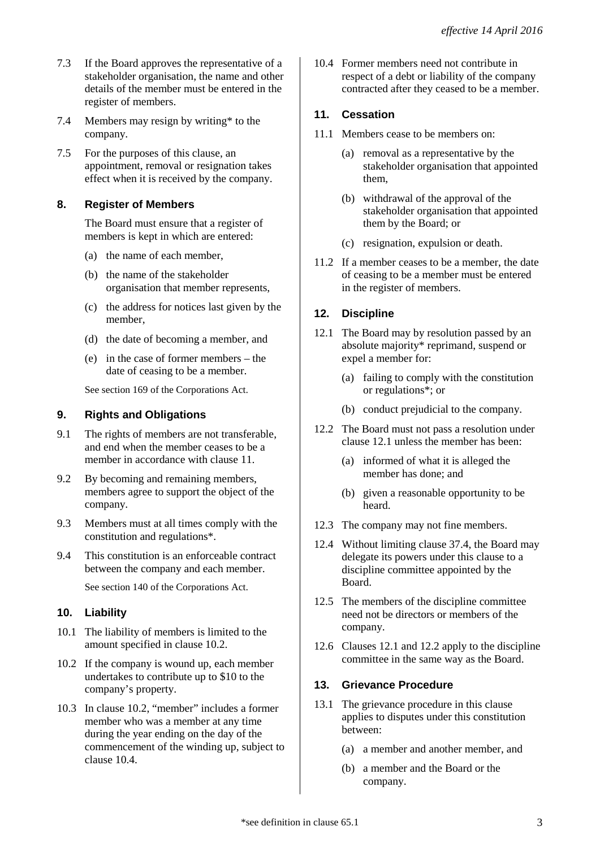- 7.3 If the Board approves the representative of a stakeholder organisation, the name and other details of the member must be entered in the register of members.
- 7.4 Members may resign by writing\* to the company.
- 7.5 For the purposes of this clause, an appointment, removal or resignation takes effect when it is received by the company.

## **8. Register of Members**

The Board must ensure that a register of members is kept in which are entered:

- (a) the name of each member,
- (b) the name of the stakeholder organisation that member represents,
- (c) the address for notices last given by the member,
- (d) the date of becoming a member, and
- (e) in the case of former members the date of ceasing to be a member.

See section 169 of the Corporations Act.

# **9. Rights and Obligations**

- 9.1 The rights of members are not transferable, and end when the member ceases to be a member in accordance with clause 11.
- 9.2 By becoming and remaining members, members agree to support the object of the company.
- 9.3 Members must at all times comply with the constitution and regulations\*.
- 9.4 This constitution is an enforceable contract between the company and each member.

See section 140 of the Corporations Act.

## **10. Liability**

- 10.1 The liability of members is limited to the amount specified in clause 10.2.
- 10.2 If the company is wound up, each member undertakes to contribute up to \$10 to the company's property.
- 10.3 In clause 10.2, "member" includes a former member who was a member at any time during the year ending on the day of the commencement of the winding up, subject to clause 10.4.

10.4 Former members need not contribute in respect of a debt or liability of the company contracted after they ceased to be a member.

# **11. Cessation**

- 11.1 Members cease to be members on:
	- (a) removal as a representative by the stakeholder organisation that appointed them,
	- (b) withdrawal of the approval of the stakeholder organisation that appointed them by the Board; or
	- (c) resignation, expulsion or death.
- 11.2 If a member ceases to be a member, the date of ceasing to be a member must be entered in the register of members.

# **12. Discipline**

- 12.1 The Board may by resolution passed by an absolute majority\* reprimand, suspend or expel a member for:
	- (a) failing to comply with the constitution or regulations\*; or
	- (b) conduct prejudicial to the company.
- 12.2 The Board must not pass a resolution under clause 12.1 unless the member has been:
	- (a) informed of what it is alleged the member has done; and
	- (b) given a reasonable opportunity to be heard.
- 12.3 The company may not fine members.
- 12.4 Without limiting clause 37.4, the Board may delegate its powers under this clause to a discipline committee appointed by the Board.
- 12.5 The members of the discipline committee need not be directors or members of the company.
- 12.6 Clauses 12.1 and 12.2 apply to the discipline committee in the same way as the Board.

# **13. Grievance Procedure**

- 13.1 The grievance procedure in this clause applies to disputes under this constitution between:
	- (a) a member and another member, and
	- (b) a member and the Board or the company.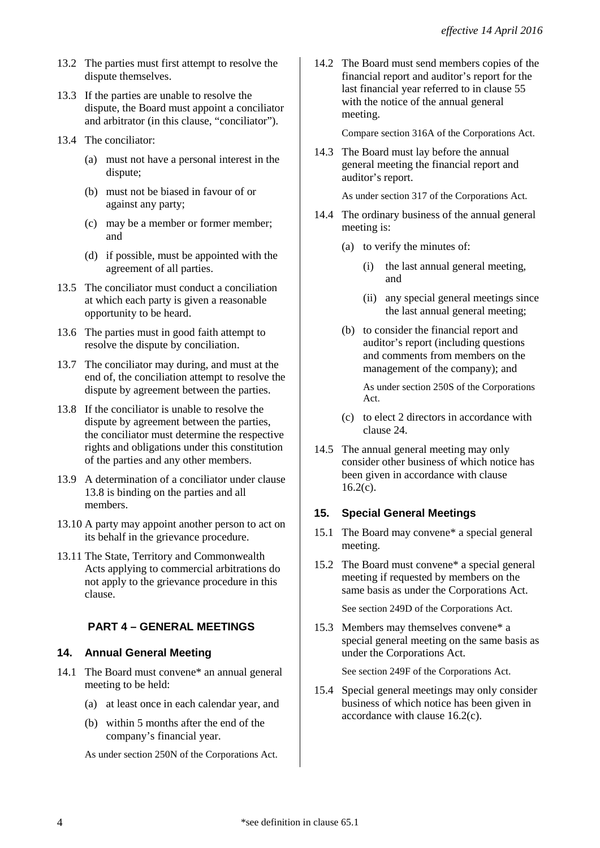- 13.2 The parties must first attempt to resolve the dispute themselves.
- 13.3 If the parties are unable to resolve the dispute, the Board must appoint a conciliator and arbitrator (in this clause, "conciliator").
- 13.4 The conciliator:
	- (a) must not have a personal interest in the dispute;
	- (b) must not be biased in favour of or against any party;
	- (c) may be a member or former member; and
	- (d) if possible, must be appointed with the agreement of all parties.
- 13.5 The conciliator must conduct a conciliation at which each party is given a reasonable opportunity to be heard.
- 13.6 The parties must in good faith attempt to resolve the dispute by conciliation.
- 13.7 The conciliator may during, and must at the end of, the conciliation attempt to resolve the dispute by agreement between the parties.
- 13.8 If the conciliator is unable to resolve the dispute by agreement between the parties, the conciliator must determine the respective rights and obligations under this constitution of the parties and any other members.
- 13.9 A determination of a conciliator under clause 13.8 is binding on the parties and all members.
- 13.10 A party may appoint another person to act on its behalf in the grievance procedure.
- 13.11 The State, Territory and Commonwealth Acts applying to commercial arbitrations do not apply to the grievance procedure in this clause.

# **PART 4 – GENERAL MEETINGS**

## **14. Annual General Meeting**

- 14.1 The Board must convene\* an annual general meeting to be held:
	- (a) at least once in each calendar year, and
	- (b) within 5 months after the end of the company's financial year.

As under section 250N of the Corporations Act.

14.2 The Board must send members copies of the financial report and auditor's report for the last financial year referred to in clause 55 with the notice of the annual general meeting.

Compare section 316A of the Corporations Act.

14.3 The Board must lay before the annual general meeting the financial report and auditor's report.

As under section 317 of the Corporations Act.

- 14.4 The ordinary business of the annual general meeting is:
	- (a) to verify the minutes of:
		- (i) the last annual general meeting, and
		- (ii) any special general meetings since the last annual general meeting;
	- (b) to consider the financial report and auditor's report (including questions and comments from members on the management of the company); and

As under section 250S of the Corporations Act.

- (c) to elect 2 directors in accordance with clause 24.
- 14.5 The annual general meeting may only consider other business of which notice has been given in accordance with clause  $16.2(c)$ .

#### **15. Special General Meetings**

- 15.1 The Board may convene\* a special general meeting.
- 15.2 The Board must convene\* a special general meeting if requested by members on the same basis as under the Corporations Act.

See section 249D of the Corporations Act.

15.3 Members may themselves convene\* a special general meeting on the same basis as under the Corporations Act.

See section 249F of the Corporations Act.

15.4 Special general meetings may only consider business of which notice has been given in accordance with clause 16.2(c).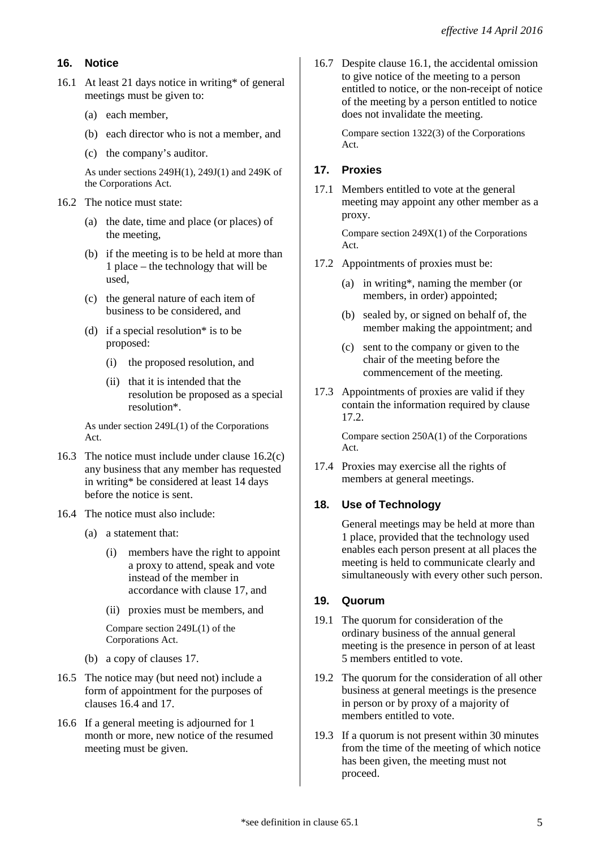## **16. Notice**

- 16.1 At least 21 days notice in writing\* of general meetings must be given to:
	- (a) each member,
	- (b) each director who is not a member, and
	- (c) the company's auditor.

As under sections 249H(1), 249J(1) and 249K of the Corporations Act.

- 16.2 The notice must state:
	- (a) the date, time and place (or places) of the meeting,
	- (b) if the meeting is to be held at more than 1 place – the technology that will be used,
	- (c) the general nature of each item of business to be considered, and
	- (d) if a special resolution\* is to be proposed:
		- (i) the proposed resolution, and
		- (ii) that it is intended that the resolution be proposed as a special resolution\*.

As under section 249L(1) of the Corporations Act.

- 16.3 The notice must include under clause 16.2(c) any business that any member has requested in writing\* be considered at least 14 days before the notice is sent.
- 16.4 The notice must also include:
	- (a) a statement that:
		- (i) members have the right to appoint a proxy to attend, speak and vote instead of the member in accordance with clause 17, and
		- (ii) proxies must be members, and

Compare section 249L(1) of the Corporations Act.

- (b) a copy of clauses 17.
- 16.5 The notice may (but need not) include a form of appointment for the purposes of clauses 16.4 and 17.
- 16.6 If a general meeting is adjourned for 1 month or more, new notice of the resumed meeting must be given.

16.7 Despite clause 16.1, the accidental omission to give notice of the meeting to a person entitled to notice, or the non-receipt of notice of the meeting by a person entitled to notice does not invalidate the meeting.

> Compare section 1322(3) of the Corporations Act.

# **17. Proxies**

17.1 Members entitled to vote at the general meeting may appoint any other member as a proxy.

> Compare section 249X(1) of the Corporations Act.

- 17.2 Appointments of proxies must be:
	- (a) in writing\*, naming the member (or members, in order) appointed;
	- (b) sealed by, or signed on behalf of, the member making the appointment; and
	- (c) sent to the company or given to the chair of the meeting before the commencement of the meeting.
- 17.3 Appointments of proxies are valid if they contain the information required by clause 17.2.

Compare section 250A(1) of the Corporations Act.

17.4 Proxies may exercise all the rights of members at general meetings.

# **18. Use of Technology**

General meetings may be held at more than 1 place, provided that the technology used enables each person present at all places the meeting is held to communicate clearly and simultaneously with every other such person.

## **19. Quorum**

- 19.1 The quorum for consideration of the ordinary business of the annual general meeting is the presence in person of at least 5 members entitled to vote.
- 19.2 The quorum for the consideration of all other business at general meetings is the presence in person or by proxy of a majority of members entitled to vote.
- 19.3 If a quorum is not present within 30 minutes from the time of the meeting of which notice has been given, the meeting must not proceed.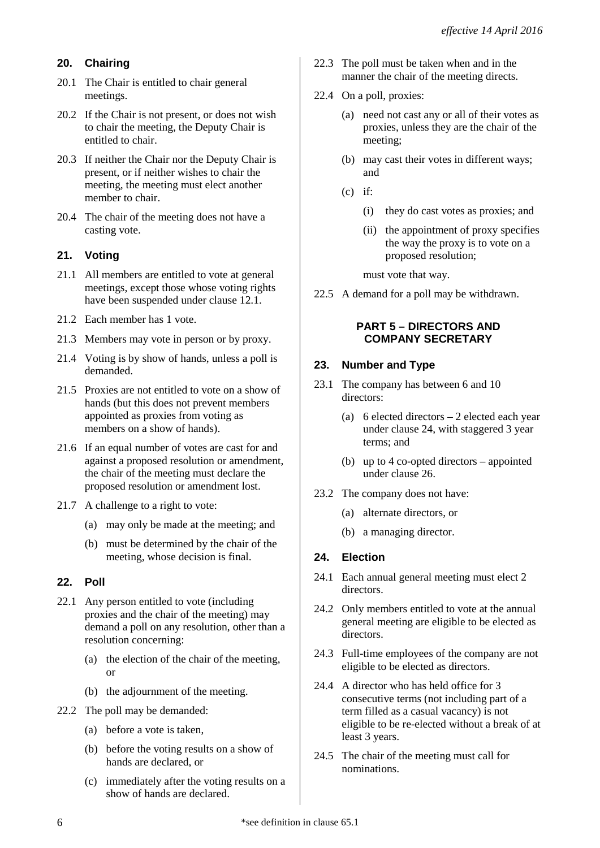# **20. Chairing**

- 20.1 The Chair is entitled to chair general meetings.
- 20.2 If the Chair is not present, or does not wish to chair the meeting, the Deputy Chair is entitled to chair.
- 20.3 If neither the Chair nor the Deputy Chair is present, or if neither wishes to chair the meeting, the meeting must elect another member to chair.
- 20.4 The chair of the meeting does not have a casting vote.

# **21. Voting**

- 21.1 All members are entitled to vote at general meetings, except those whose voting rights have been suspended under clause 12.1.
- 21.2 Each member has 1 vote.
- 21.3 Members may vote in person or by proxy.
- 21.4 Voting is by show of hands, unless a poll is demanded.
- 21.5 Proxies are not entitled to vote on a show of hands (but this does not prevent members appointed as proxies from voting as members on a show of hands).
- 21.6 If an equal number of votes are cast for and against a proposed resolution or amendment, the chair of the meeting must declare the proposed resolution or amendment lost.
- 21.7 A challenge to a right to vote:
	- (a) may only be made at the meeting; and
	- (b) must be determined by the chair of the meeting, whose decision is final.

# **22. Poll**

- 22.1 Any person entitled to vote (including proxies and the chair of the meeting) may demand a poll on any resolution, other than a resolution concerning:
	- (a) the election of the chair of the meeting, or
	- (b) the adjournment of the meeting.
- 22.2 The poll may be demanded:
	- (a) before a vote is taken,
	- (b) before the voting results on a show of hands are declared, or
	- (c) immediately after the voting results on a show of hands are declared.
- 22.3 The poll must be taken when and in the manner the chair of the meeting directs.
- 22.4 On a poll, proxies:
	- (a) need not cast any or all of their votes as proxies, unless they are the chair of the meeting;
	- (b) may cast their votes in different ways; and
	- $(c)$  if:
		- (i) they do cast votes as proxies; and
		- (ii) the appointment of proxy specifies the way the proxy is to vote on a proposed resolution;

must vote that way.

22.5 A demand for a poll may be withdrawn.

## **PART 5 – DIRECTORS AND COMPANY SECRETARY**

# **23. Number and Type**

- 23.1 The company has between 6 and 10 directors:
	- (a) 6 elected directors 2 elected each year under clause 24, with staggered 3 year terms; and
	- (b) up to 4 co-opted directors appointed under clause 26.
- 23.2 The company does not have:
	- (a) alternate directors, or
	- (b) a managing director.

## **24. Election**

- 24.1 Each annual general meeting must elect 2 directors.
- 24.2 Only members entitled to vote at the annual general meeting are eligible to be elected as directors.
- 24.3 Full-time employees of the company are not eligible to be elected as directors.
- 24.4 A director who has held office for 3 consecutive terms (not including part of a term filled as a casual vacancy) is not eligible to be re-elected without a break of at least 3 years.
- 24.5 The chair of the meeting must call for nominations.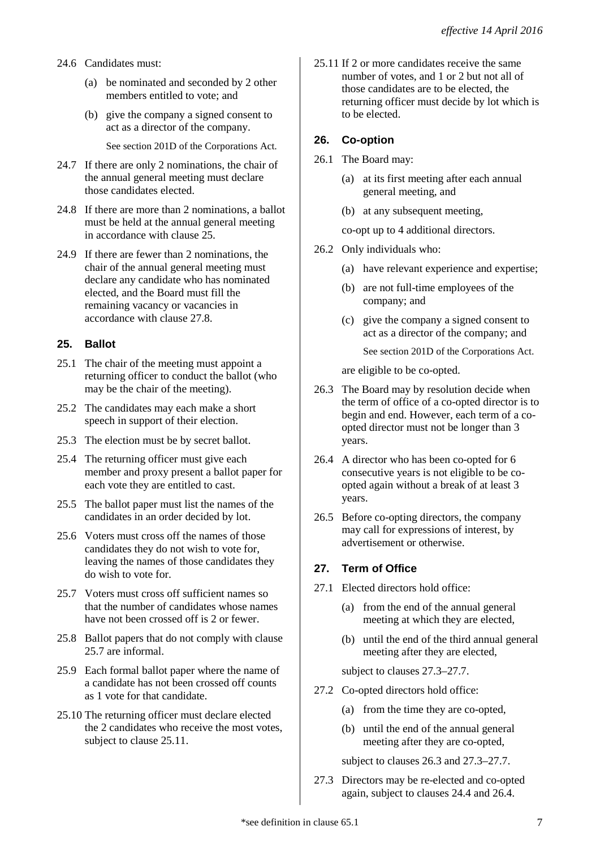- 24.6 Candidates must:
	- (a) be nominated and seconded by 2 other members entitled to vote; and
	- (b) give the company a signed consent to act as a director of the company.

See section 201D of the Corporations Act.

- 24.7 If there are only 2 nominations, the chair of the annual general meeting must declare those candidates elected.
- 24.8 If there are more than 2 nominations, a ballot must be held at the annual general meeting in accordance with clause 25.
- 24.9 If there are fewer than 2 nominations, the chair of the annual general meeting must declare any candidate who has nominated elected, and the Board must fill the remaining vacancy or vacancies in accordance with clause 27.8.

# **25. Ballot**

- 25.1 The chair of the meeting must appoint a returning officer to conduct the ballot (who may be the chair of the meeting).
- 25.2 The candidates may each make a short speech in support of their election.
- 25.3 The election must be by secret ballot.
- 25.4 The returning officer must give each member and proxy present a ballot paper for each vote they are entitled to cast.
- 25.5 The ballot paper must list the names of the candidates in an order decided by lot.
- 25.6 Voters must cross off the names of those candidates they do not wish to vote for, leaving the names of those candidates they do wish to vote for.
- 25.7 Voters must cross off sufficient names so that the number of candidates whose names have not been crossed off is 2 or fewer.
- 25.8 Ballot papers that do not comply with clause 25.7 are informal.
- 25.9 Each formal ballot paper where the name of a candidate has not been crossed off counts as 1 vote for that candidate.
- 25.10 The returning officer must declare elected the 2 candidates who receive the most votes, subject to clause 25.11.

25.11 If 2 or more candidates receive the same number of votes, and 1 or 2 but not all of those candidates are to be elected, the returning officer must decide by lot which is to be elected.

# **26. Co-option**

- 26.1 The Board may:
	- (a) at its first meeting after each annual general meeting, and
	- (b) at any subsequent meeting,

co-opt up to 4 additional directors.

- 26.2 Only individuals who:
	- (a) have relevant experience and expertise;
	- (b) are not full-time employees of the company; and
	- (c) give the company a signed consent to act as a director of the company; and

See section 201D of the Corporations Act.

are eligible to be co-opted.

- 26.3 The Board may by resolution decide when the term of office of a co-opted director is to begin and end. However, each term of a coopted director must not be longer than 3 years.
- 26.4 A director who has been co-opted for 6 consecutive years is not eligible to be coopted again without a break of at least 3 years.
- 26.5 Before co-opting directors, the company may call for expressions of interest, by advertisement or otherwise.

## **27. Term of Office**

- 27.1 Elected directors hold office:
	- (a) from the end of the annual general meeting at which they are elected,
	- (b) until the end of the third annual general meeting after they are elected,

subject to clauses 27.3–27.7.

- 27.2 Co-opted directors hold office:
	- (a) from the time they are co-opted,
	- (b) until the end of the annual general meeting after they are co-opted,

subject to clauses 26.3 and 27.3–27.7.

27.3 Directors may be re-elected and co-opted again, subject to clauses 24.4 and 26.4.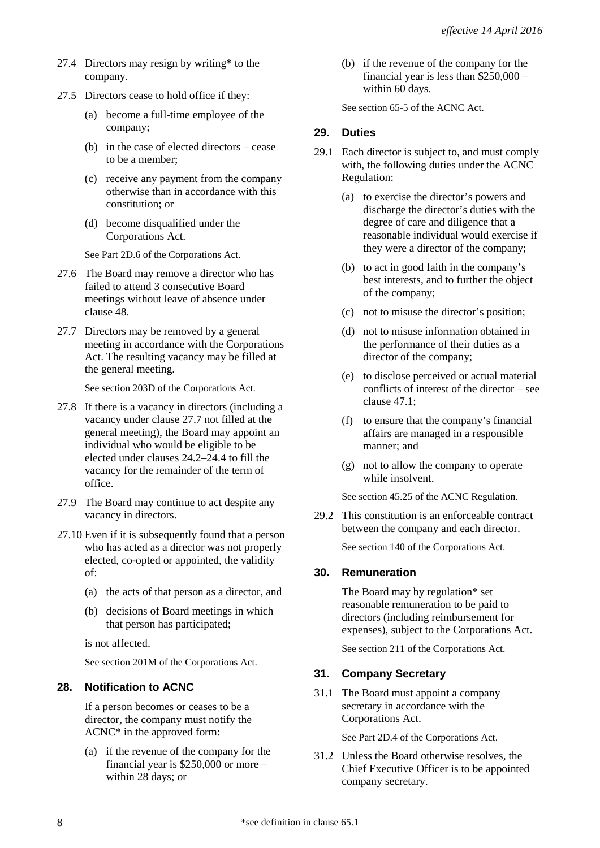- 27.4 Directors may resign by writing\* to the company.
- 27.5 Directors cease to hold office if they:
	- (a) become a full-time employee of the company;
	- (b) in the case of elected directors cease to be a member;
	- (c) receive any payment from the company otherwise than in accordance with this constitution; or
	- (d) become disqualified under the Corporations Act.

See Part 2D.6 of the Corporations Act.

- 27.6 The Board may remove a director who has failed to attend 3 consecutive Board meetings without leave of absence under clause 48.
- 27.7 Directors may be removed by a general meeting in accordance with the Corporations Act. The resulting vacancy may be filled at the general meeting.

See section 203D of the Corporations Act.

- 27.8 If there is a vacancy in directors (including a vacancy under clause 27.7 not filled at the general meeting), the Board may appoint an individual who would be eligible to be elected under clauses 24.2–24.4 to fill the vacancy for the remainder of the term of office.
- 27.9 The Board may continue to act despite any vacancy in directors.
- 27.10 Even if it is subsequently found that a person who has acted as a director was not properly elected, co-opted or appointed, the validity of:
	- (a) the acts of that person as a director, and
	- (b) decisions of Board meetings in which that person has participated;

is not affected.

See section 201M of the Corporations Act.

# **28. Notification to ACNC**

If a person becomes or ceases to be a director, the company must notify the ACNC\* in the approved form:

(a) if the revenue of the company for the financial year is \$250,000 or more – within 28 days; or

(b) if the revenue of the company for the financial year is less than \$250,000 – within 60 days.

See section 65-5 of the ACNC Act.

# **29. Duties**

- 29.1 Each director is subject to, and must comply with, the following duties under the ACNC Regulation:
	- (a) to exercise the director's powers and discharge the director's duties with the degree of care and diligence that a reasonable individual would exercise if they were a director of the company;
	- (b) to act in good faith in the company's best interests, and to further the object of the company;
	- (c) not to misuse the director's position;
	- (d) not to misuse information obtained in the performance of their duties as a director of the company;
	- (e) to disclose perceived or actual material conflicts of interest of the director – see clause 47.1;
	- (f) to ensure that the company's financial affairs are managed in a responsible manner; and
	- (g) not to allow the company to operate while insolvent.

See section 45.25 of the ACNC Regulation.

29.2 This constitution is an enforceable contract between the company and each director.

See section 140 of the Corporations Act.

# **30. Remuneration**

The Board may by regulation\* set reasonable remuneration to be paid to directors (including reimbursement for expenses), subject to the Corporations Act.

See section 211 of the Corporations Act.

# **31. Company Secretary**

31.1 The Board must appoint a company secretary in accordance with the Corporations Act.

See Part 2D.4 of the Corporations Act.

31.2 Unless the Board otherwise resolves, the Chief Executive Officer is to be appointed company secretary.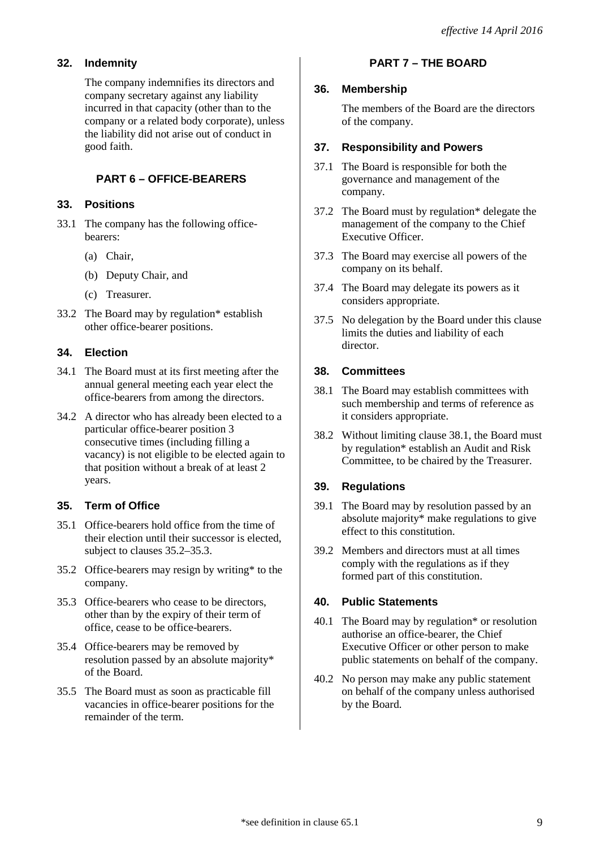# **32. Indemnity**

The company indemnifies its directors and company secretary against any liability incurred in that capacity (other than to the company or a related body corporate), unless the liability did not arise out of conduct in good faith.

# **PART 6 – OFFICE-BEARERS**

# **33. Positions**

- 33.1 The company has the following officebearers:
	- (a) Chair,
	- (b) Deputy Chair, and
	- (c) Treasurer.
- 33.2 The Board may by regulation\* establish other office-bearer positions.

# **34. Election**

- 34.1 The Board must at its first meeting after the annual general meeting each year elect the office-bearers from among the directors.
- 34.2 A director who has already been elected to a particular office-bearer position 3 consecutive times (including filling a vacancy) is not eligible to be elected again to that position without a break of at least 2 years.

# **35. Term of Office**

- 35.1 Office-bearers hold office from the time of their election until their successor is elected, subject to clauses 35.2–35.3.
- 35.2 Office-bearers may resign by writing\* to the company.
- 35.3 Office-bearers who cease to be directors, other than by the expiry of their term of office, cease to be office-bearers.
- 35.4 Office-bearers may be removed by resolution passed by an absolute majority\* of the Board.
- 35.5 The Board must as soon as practicable fill vacancies in office-bearer positions for the remainder of the term.

## **PART 7 – THE BOARD**

### **36. Membership**

The members of the Board are the directors of the company.

## **37. Responsibility and Powers**

- 37.1 The Board is responsible for both the governance and management of the company.
- 37.2 The Board must by regulation\* delegate the management of the company to the Chief Executive Officer.
- 37.3 The Board may exercise all powers of the company on its behalf.
- 37.4 The Board may delegate its powers as it considers appropriate.
- 37.5 No delegation by the Board under this clause limits the duties and liability of each director.

## **38. Committees**

- 38.1 The Board may establish committees with such membership and terms of reference as it considers appropriate.
- 38.2 Without limiting clause 38.1, the Board must by regulation\* establish an Audit and Risk Committee, to be chaired by the Treasurer.

# **39. Regulations**

- 39.1 The Board may by resolution passed by an absolute majority\* make regulations to give effect to this constitution.
- 39.2 Members and directors must at all times comply with the regulations as if they formed part of this constitution.

## **40. Public Statements**

- 40.1 The Board may by regulation\* or resolution authorise an office-bearer, the Chief Executive Officer or other person to make public statements on behalf of the company.
- 40.2 No person may make any public statement on behalf of the company unless authorised by the Board.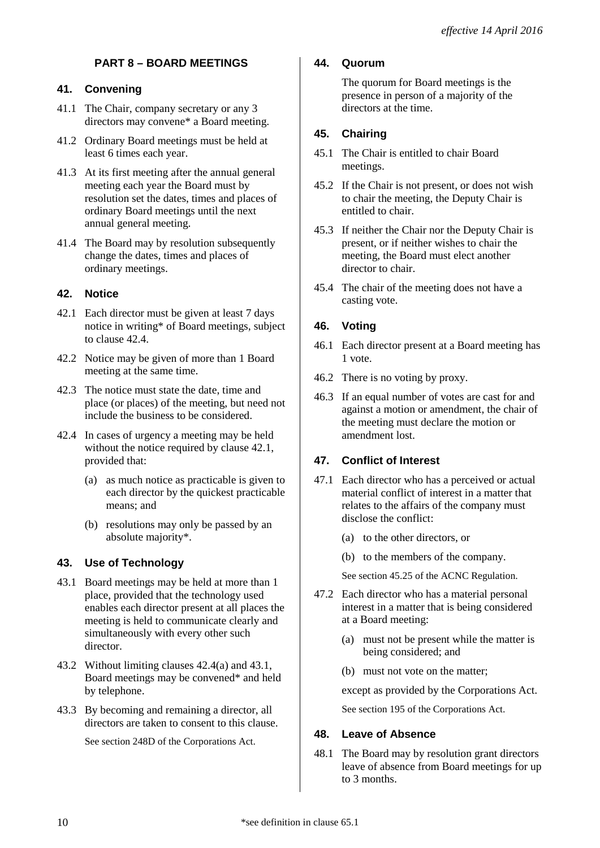# **PART 8 – BOARD MEETINGS**

### **41. Convening**

- 41.1 The Chair, company secretary or any 3 directors may convene\* a Board meeting.
- 41.2 Ordinary Board meetings must be held at least 6 times each year.
- 41.3 At its first meeting after the annual general meeting each year the Board must by resolution set the dates, times and places of ordinary Board meetings until the next annual general meeting.
- 41.4 The Board may by resolution subsequently change the dates, times and places of ordinary meetings.

## **42. Notice**

- 42.1 Each director must be given at least 7 days notice in writing\* of Board meetings, subject to clause 42.4.
- 42.2 Notice may be given of more than 1 Board meeting at the same time.
- 42.3 The notice must state the date, time and place (or places) of the meeting, but need not include the business to be considered.
- 42.4 In cases of urgency a meeting may be held without the notice required by clause 42.1, provided that:
	- (a) as much notice as practicable is given to each director by the quickest practicable means; and
	- (b) resolutions may only be passed by an absolute majority\*.

## **43. Use of Technology**

- 43.1 Board meetings may be held at more than 1 place, provided that the technology used enables each director present at all places the meeting is held to communicate clearly and simultaneously with every other such director.
- 43.2 Without limiting clauses 42.4(a) and 43.1, Board meetings may be convened\* and held by telephone.
- 43.3 By becoming and remaining a director, all directors are taken to consent to this clause.

See section 248D of the Corporations Act.

## **44. Quorum**

The quorum for Board meetings is the presence in person of a majority of the directors at the time.

## **45. Chairing**

- 45.1 The Chair is entitled to chair Board meetings.
- 45.2 If the Chair is not present, or does not wish to chair the meeting, the Deputy Chair is entitled to chair.
- 45.3 If neither the Chair nor the Deputy Chair is present, or if neither wishes to chair the meeting, the Board must elect another director to chair.
- 45.4 The chair of the meeting does not have a casting vote.

## **46. Voting**

- 46.1 Each director present at a Board meeting has 1 vote.
- 46.2 There is no voting by proxy.
- 46.3 If an equal number of votes are cast for and against a motion or amendment, the chair of the meeting must declare the motion or amendment lost.

## **47. Conflict of Interest**

- 47.1 Each director who has a perceived or actual material conflict of interest in a matter that relates to the affairs of the company must disclose the conflict:
	- (a) to the other directors, or
	- (b) to the members of the company.

See section 45.25 of the ACNC Regulation.

- 47.2 Each director who has a material personal interest in a matter that is being considered at a Board meeting:
	- (a) must not be present while the matter is being considered; and
	- (b) must not vote on the matter;

except as provided by the Corporations Act.

See section 195 of the Corporations Act.

#### **48. Leave of Absence**

48.1 The Board may by resolution grant directors leave of absence from Board meetings for up to 3 months.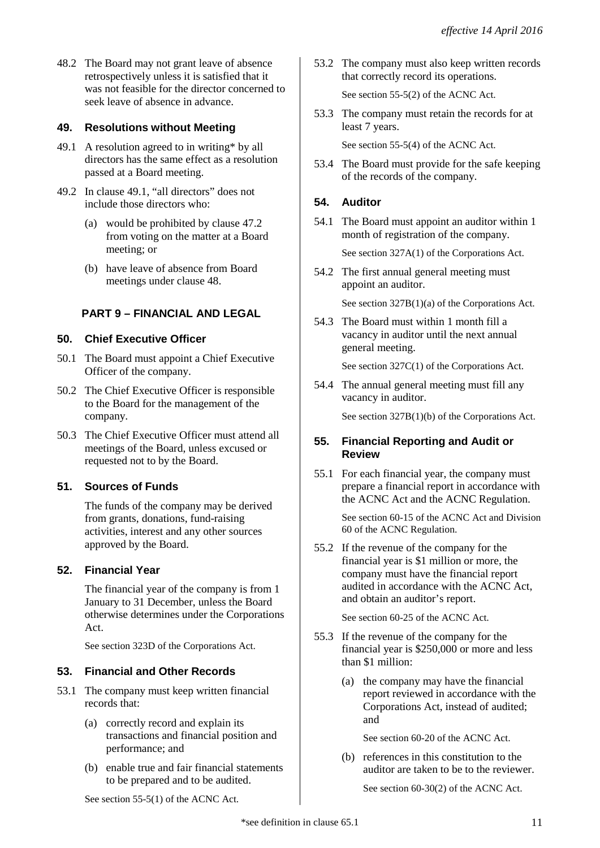48.2 The Board may not grant leave of absence retrospectively unless it is satisfied that it was not feasible for the director concerned to seek leave of absence in advance.

## **49. Resolutions without Meeting**

- 49.1 A resolution agreed to in writing\* by all directors has the same effect as a resolution passed at a Board meeting.
- 49.2 In clause 49.1, "all directors" does not include those directors who:
	- (a) would be prohibited by clause 47.2 from voting on the matter at a Board meeting; or
	- (b) have leave of absence from Board meetings under clause 48.

## **PART 9 – FINANCIAL AND LEGAL**

#### **50. Chief Executive Officer**

- 50.1 The Board must appoint a Chief Executive Officer of the company.
- 50.2 The Chief Executive Officer is responsible to the Board for the management of the company.
- 50.3 The Chief Executive Officer must attend all meetings of the Board, unless excused or requested not to by the Board.

## **51. Sources of Funds**

The funds of the company may be derived from grants, donations, fund-raising activities, interest and any other sources approved by the Board.

## **52. Financial Year**

The financial year of the company is from 1 January to 31 December, unless the Board otherwise determines under the Corporations Act.

See section 323D of the Corporations Act.

#### **53. Financial and Other Records**

- 53.1 The company must keep written financial records that:
	- (a) correctly record and explain its transactions and financial position and performance; and
	- (b) enable true and fair financial statements to be prepared and to be audited.

53.2 The company must also keep written records that correctly record its operations.

See section 55-5(2) of the ACNC Act.

53.3 The company must retain the records for at least 7 years.

See section 55-5(4) of the ACNC Act.

53.4 The Board must provide for the safe keeping of the records of the company.

## **54. Auditor**

54.1 The Board must appoint an auditor within 1 month of registration of the company.

See section 327A(1) of the Corporations Act.

54.2 The first annual general meeting must appoint an auditor.

See section 327B(1)(a) of the Corporations Act.

54.3 The Board must within 1 month fill a vacancy in auditor until the next annual general meeting.

See section 327C(1) of the Corporations Act.

54.4 The annual general meeting must fill any vacancy in auditor.

See section 327B(1)(b) of the Corporations Act.

#### **55. Financial Reporting and Audit or Review**

55.1 For each financial year, the company must prepare a financial report in accordance with the ACNC Act and the ACNC Regulation.

> See section 60-15 of the ACNC Act and Division 60 of the ACNC Regulation.

55.2 If the revenue of the company for the financial year is \$1 million or more, the company must have the financial report audited in accordance with the ACNC Act, and obtain an auditor's report.

See section 60-25 of the ACNC Act.

- 55.3 If the revenue of the company for the financial year is \$250,000 or more and less than \$1 million:
	- (a) the company may have the financial report reviewed in accordance with the Corporations Act, instead of audited; and

See section 60-20 of the ACNC Act.

(b) references in this constitution to the auditor are taken to be to the reviewer.

See section 60-30(2) of the ACNC Act.

See section 55-5(1) of the ACNC Act.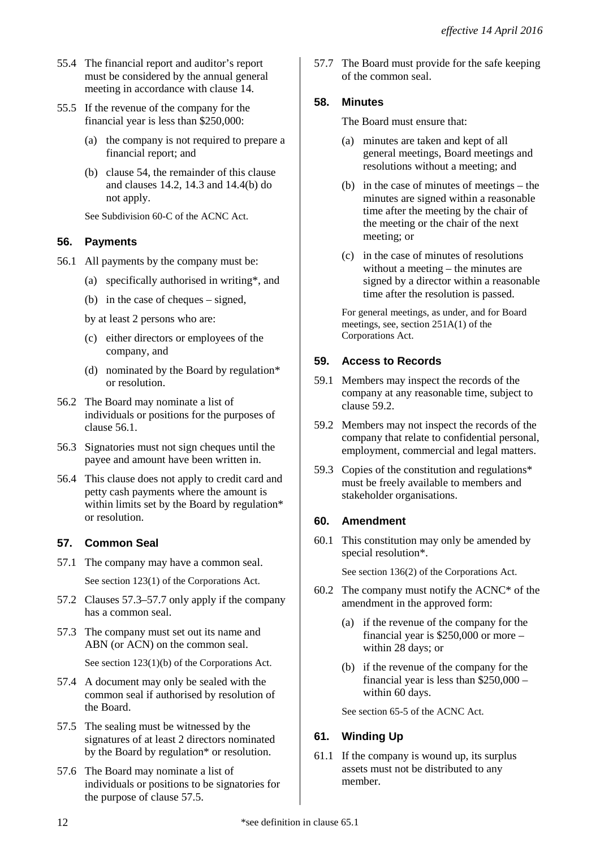- 55.4 The financial report and auditor's report must be considered by the annual general meeting in accordance with clause 14.
- 55.5 If the revenue of the company for the financial year is less than \$250,000:
	- (a) the company is not required to prepare a financial report; and
	- (b) clause 54, the remainder of this clause and clauses 14.2, 14.3 and 14.4(b) do not apply.

See Subdivision 60-C of the ACNC Act.

## **56. Payments**

- 56.1 All payments by the company must be:
	- (a) specifically authorised in writing\*, and
	- (b) in the case of cheques signed,
	- by at least 2 persons who are:
	- (c) either directors or employees of the company, and
	- (d) nominated by the Board by regulation\* or resolution.
- 56.2 The Board may nominate a list of individuals or positions for the purposes of clause 56.1.
- 56.3 Signatories must not sign cheques until the payee and amount have been written in.
- 56.4 This clause does not apply to credit card and petty cash payments where the amount is within limits set by the Board by regulation\* or resolution.

## **57. Common Seal**

- 57.1 The company may have a common seal.
	- See section 123(1) of the Corporations Act.
- 57.2 Clauses 57.3–57.7 only apply if the company has a common seal.
- 57.3 The company must set out its name and ABN (or ACN) on the common seal.

See section 123(1)(b) of the Corporations Act.

- 57.4 A document may only be sealed with the common seal if authorised by resolution of the Board.
- 57.5 The sealing must be witnessed by the signatures of at least 2 directors nominated by the Board by regulation\* or resolution.
- 57.6 The Board may nominate a list of individuals or positions to be signatories for the purpose of clause 57.5.

57.7 The Board must provide for the safe keeping of the common seal.

## **58. Minutes**

The Board must ensure that:

- (a) minutes are taken and kept of all general meetings, Board meetings and resolutions without a meeting; and
- (b) in the case of minutes of meetings the minutes are signed within a reasonable time after the meeting by the chair of the meeting or the chair of the next meeting; or
- (c) in the case of minutes of resolutions without a meeting – the minutes are signed by a director within a reasonable time after the resolution is passed.

For general meetings, as under, and for Board meetings, see, section 251A(1) of the Corporations Act.

# **59. Access to Records**

- 59.1 Members may inspect the records of the company at any reasonable time, subject to clause 59.2.
- 59.2 Members may not inspect the records of the company that relate to confidential personal, employment, commercial and legal matters.
- 59.3 Copies of the constitution and regulations\* must be freely available to members and stakeholder organisations.

# **60. Amendment**

60.1 This constitution may only be amended by special resolution\*.

See section 136(2) of the Corporations Act.

- 60.2 The company must notify the ACNC\* of the amendment in the approved form:
	- (a) if the revenue of the company for the financial year is \$250,000 or more – within 28 days; or
	- (b) if the revenue of the company for the financial year is less than \$250,000 – within 60 days.

See section 65-5 of the ACNC Act.

# **61. Winding Up**

61.1 If the company is wound up, its surplus assets must not be distributed to any member.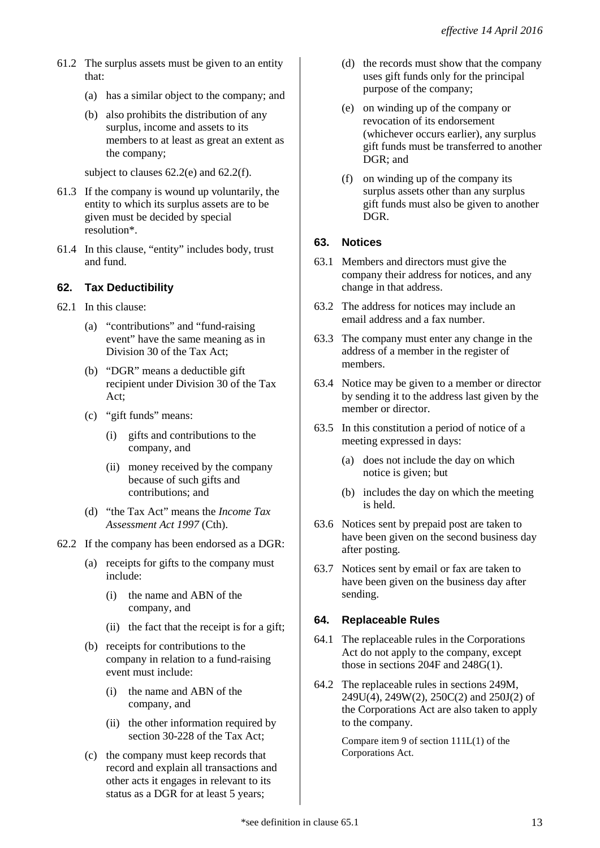- 61.2 The surplus assets must be given to an entity that:
	- (a) has a similar object to the company; and
	- (b) also prohibits the distribution of any surplus, income and assets to its members to at least as great an extent as the company;

subject to clauses 62.2(e) and 62.2(f).

- 61.3 If the company is wound up voluntarily, the entity to which its surplus assets are to be given must be decided by special resolution\*.
- 61.4 In this clause, "entity" includes body, trust and fund.

# **62. Tax Deductibility**

- 62.1 In this clause:
	- (a) "contributions" and "fund-raising event" have the same meaning as in Division 30 of the Tax Act;
	- (b) "DGR" means a deductible gift recipient under Division 30 of the Tax Act;
	- (c) "gift funds" means:
		- (i) gifts and contributions to the company, and
		- (ii) money received by the company because of such gifts and contributions; and
	- (d) "the Tax Act" means the *Income Tax Assessment Act 1997* (Cth).
- 62.2 If the company has been endorsed as a DGR:
	- (a) receipts for gifts to the company must include:
		- (i) the name and ABN of the company, and
		- (ii) the fact that the receipt is for a gift;
	- (b) receipts for contributions to the company in relation to a fund-raising event must include:
		- (i) the name and ABN of the company, and
		- (ii) the other information required by section 30-228 of the Tax Act;
	- (c) the company must keep records that record and explain all transactions and other acts it engages in relevant to its status as a DGR for at least 5 years;
- (d) the records must show that the company uses gift funds only for the principal purpose of the company;
- (e) on winding up of the company or revocation of its endorsement (whichever occurs earlier), any surplus gift funds must be transferred to another DGR; and
- (f) on winding up of the company its surplus assets other than any surplus gift funds must also be given to another DGR.

# **63. Notices**

- 63.1 Members and directors must give the company their address for notices, and any change in that address.
- 63.2 The address for notices may include an email address and a fax number.
- 63.3 The company must enter any change in the address of a member in the register of members.
- 63.4 Notice may be given to a member or director by sending it to the address last given by the member or director.
- 63.5 In this constitution a period of notice of a meeting expressed in days:
	- (a) does not include the day on which notice is given; but
	- (b) includes the day on which the meeting is held.
- 63.6 Notices sent by prepaid post are taken to have been given on the second business day after posting.
- 63.7 Notices sent by email or fax are taken to have been given on the business day after sending.

## **64. Replaceable Rules**

- 64.1 The replaceable rules in the Corporations Act do not apply to the company, except those in sections 204F and 248G(1).
- 64.2 The replaceable rules in sections 249M, 249U(4), 249W(2), 250C(2) and 250J(2) of the Corporations Act are also taken to apply to the company.

Compare item 9 of section 111L(1) of the Corporations Act.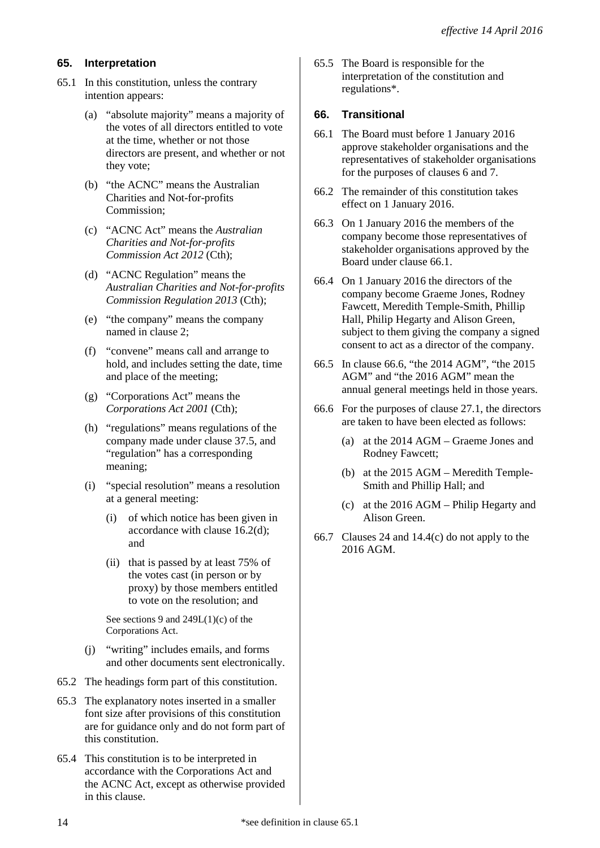# **65. Interpretation**

- 65.1 In this constitution, unless the contrary intention appears:
	- (a) "absolute majority" means a majority of the votes of all directors entitled to vote at the time, whether or not those directors are present, and whether or not they vote;
	- (b) "the ACNC" means the Australian Charities and Not-for-profits Commission;
	- (c) "ACNC Act" means the *Australian Charities and Not-for-profits Commission Act 2012* (Cth);
	- (d) "ACNC Regulation" means the *Australian Charities and Not-for-profits Commission Regulation 2013* (Cth);
	- (e) "the company" means the company named in clause 2;
	- (f) "convene" means call and arrange to hold, and includes setting the date, time and place of the meeting;
	- (g) "Corporations Act" means the *Corporations Act 2001* (Cth);
	- (h) "regulations" means regulations of the company made under clause 37.5, and "regulation" has a corresponding meaning;
	- (i) "special resolution" means a resolution at a general meeting:
		- (i) of which notice has been given in accordance with clause 16.2(d); and
		- (ii) that is passed by at least 75% of the votes cast (in person or by proxy) by those members entitled to vote on the resolution; and

See sections 9 and 249L(1)(c) of the Corporations Act.

- (j) "writing" includes emails, and forms and other documents sent electronically.
- 65.2 The headings form part of this constitution.
- 65.3 The explanatory notes inserted in a smaller font size after provisions of this constitution are for guidance only and do not form part of this constitution.
- 65.4 This constitution is to be interpreted in accordance with the Corporations Act and the ACNC Act, except as otherwise provided in this clause.

65.5 The Board is responsible for the interpretation of the constitution and regulations\*.

## **66. Transitional**

- 66.1 The Board must before 1 January 2016 approve stakeholder organisations and the representatives of stakeholder organisations for the purposes of clauses 6 and 7.
- 66.2 The remainder of this constitution takes effect on 1 January 2016.
- 66.3 On 1 January 2016 the members of the company become those representatives of stakeholder organisations approved by the Board under clause 66.1.
- 66.4 On 1 January 2016 the directors of the company become Graeme Jones, Rodney Fawcett, Meredith Temple-Smith, Phillip Hall, Philip Hegarty and Alison Green, subject to them giving the company a signed consent to act as a director of the company.
- 66.5 In clause 66.6, "the 2014 AGM", "the 2015 AGM" and "the 2016 AGM" mean the annual general meetings held in those years.
- 66.6 For the purposes of clause 27.1, the directors are taken to have been elected as follows:
	- (a) at the 2014 AGM Graeme Jones and Rodney Fawcett;
	- (b) at the 2015 AGM Meredith Temple-Smith and Phillip Hall; and
	- (c) at the 2016 AGM Philip Hegarty and Alison Green.
- 66.7 Clauses 24 and 14.4(c) do not apply to the 2016 AGM.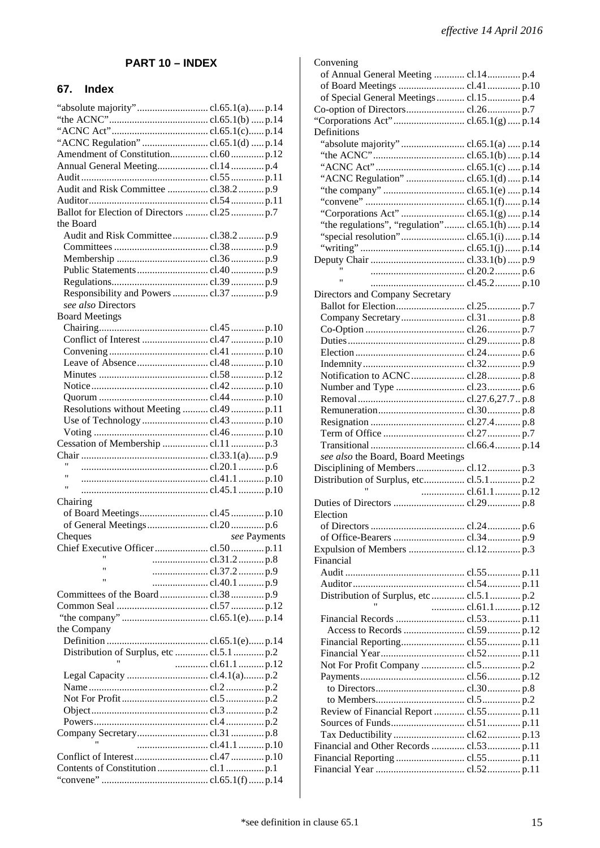# **PART 10 – INDEX**

## **67. Index**

| "absolute majority"cl.65.1(a)p.14            |               |
|----------------------------------------------|---------------|
|                                              |               |
|                                              |               |
|                                              |               |
| "ACNC Regulation" cl.65.1(d) p.14            |               |
|                                              |               |
|                                              |               |
|                                              |               |
|                                              |               |
|                                              |               |
|                                              |               |
| Ballot for Election of Directors  cl.25  p.7 |               |
| the Board                                    |               |
|                                              |               |
|                                              |               |
|                                              |               |
|                                              |               |
|                                              |               |
|                                              |               |
| Responsibility and Powers  cl.37  p.9        |               |
| see also Directors                           |               |
| <b>Board Meetings</b>                        |               |
|                                              |               |
|                                              |               |
|                                              |               |
|                                              |               |
|                                              |               |
|                                              |               |
|                                              |               |
|                                              |               |
| Resolutions without Meeting  cl.49  p.11     |               |
|                                              |               |
|                                              |               |
|                                              |               |
|                                              |               |
|                                              |               |
|                                              |               |
| Ħ                                            |               |
|                                              |               |
| 11                                           |               |
|                                              |               |
| Chairing                                     |               |
|                                              |               |
|                                              |               |
| Cheques                                      | see Payments  |
|                                              |               |
| Ħ                                            | cl.31.2p.8    |
| Ħ                                            |               |
| Ħ                                            | cl.37.2p.9    |
|                                              |               |
|                                              |               |
|                                              |               |
|                                              |               |
| the Company                                  |               |
|                                              |               |
| Distribution of Surplus, etc  cl.5.1  p.2    |               |
|                                              |               |
|                                              | cl.61.1  p.12 |
|                                              |               |
|                                              |               |
|                                              |               |
|                                              |               |
|                                              |               |
|                                              |               |
|                                              |               |
|                                              |               |
|                                              |               |
|                                              |               |

| Convening                                        |  |  |
|--------------------------------------------------|--|--|
| of Annual General Meeting  cl.14 p.4             |  |  |
|                                                  |  |  |
| of Special General Meetings  cl.15  p.4          |  |  |
|                                                  |  |  |
|                                                  |  |  |
| Definitions                                      |  |  |
| "absolute majority"cl.65.1(a)p.14                |  |  |
|                                                  |  |  |
|                                                  |  |  |
|                                                  |  |  |
|                                                  |  |  |
|                                                  |  |  |
|                                                  |  |  |
| "the regulations", "regulation" cl.65.1(h)  p.14 |  |  |
|                                                  |  |  |
|                                                  |  |  |
|                                                  |  |  |
|                                                  |  |  |
| $\mathbf{H}$                                     |  |  |
| Directors and Company Secretary                  |  |  |
|                                                  |  |  |
|                                                  |  |  |
|                                                  |  |  |
|                                                  |  |  |
|                                                  |  |  |
|                                                  |  |  |
|                                                  |  |  |
|                                                  |  |  |
|                                                  |  |  |
|                                                  |  |  |
|                                                  |  |  |
|                                                  |  |  |
|                                                  |  |  |
| see also the Board, Board Meetings               |  |  |
|                                                  |  |  |
|                                                  |  |  |
|                                                  |  |  |
|                                                  |  |  |
|                                                  |  |  |
| Election                                         |  |  |
|                                                  |  |  |
|                                                  |  |  |
|                                                  |  |  |
|                                                  |  |  |
| Financial                                        |  |  |
|                                                  |  |  |
|                                                  |  |  |
| Ħ                                                |  |  |
| cl.61.1 p.12                                     |  |  |
|                                                  |  |  |
|                                                  |  |  |
|                                                  |  |  |
|                                                  |  |  |
|                                                  |  |  |
|                                                  |  |  |
|                                                  |  |  |
|                                                  |  |  |
| Review of Financial Report  cl.55 p.11           |  |  |
|                                                  |  |  |
|                                                  |  |  |
| Financial and Other Records  cl.53 p.11          |  |  |
|                                                  |  |  |